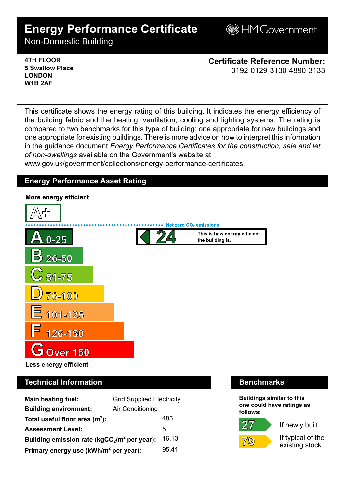# **Energy Performance Certificate**

**BHM Government** 

Non-Domestic Building

#### **4TH FLOOR 5 Swallow Place LONDON W1B 2AF**

**Certificate Reference Number:** 0192-0129-3130-4890-3133

This certificate shows the energy rating of this building. It indicates the energy efficiency of the building fabric and the heating, ventilation, cooling and lighting systems. The rating is compared to two benchmarks for this type of building: one appropriate for new buildings and one appropriate for existing buildings. There is more advice on how to interpret this information in the guidance document *Energy Performance Certificates for the construction, sale and let of non-dwellings* available on the Government's website at

www.gov.uk/government/collections/energy-performance-certificates.

# **Energy Performance Asset Rating**



## Less energy efficient

# **Technical Information Benchmarks**

| <b>Main heating fuel:</b>                         | <b>Grid Supplied Electricity</b> |       |
|---------------------------------------------------|----------------------------------|-------|
| <b>Building environment:</b>                      | Air Conditioning                 |       |
| Total useful floor area $(m2)$ :                  |                                  | 485   |
| <b>Assessment Level:</b>                          |                                  | 5     |
| Building emission rate ( $kgCO2/m2$ per year):    |                                  | 16.13 |
| Primary energy use (kWh/m <sup>2</sup> per year): |                                  | 95.41 |

**Buildings similar to this one could have ratings as follows:**

 $27$ 



If newly built

If typical of the existing stock